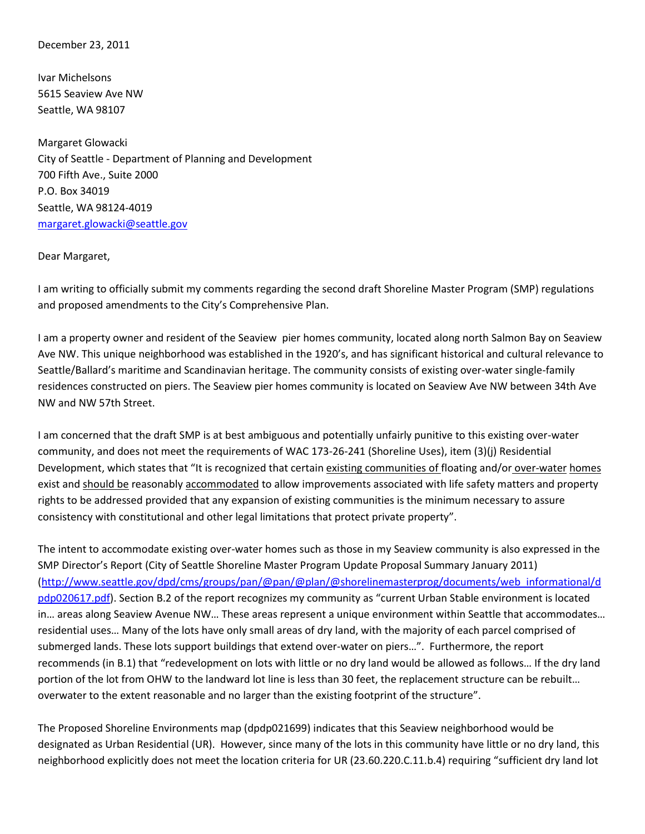December 23, 2011

Ivar Michelsons 5615 Seaview Ave NW Seattle, WA 98107

Margaret Glowacki City of Seattle - Department of Planning and Development 700 Fifth Ave., Suite 2000 P.O. Box 34019 Seattle, WA 98124-4019 [margaret.glowacki@seattle.gov](mailto:margaret.glowacki@seattle.gov)

## Dear Margaret,

I am writing to officially submit my comments regarding the second draft Shoreline Master Program (SMP) regulations and proposed amendments to the City's Comprehensive Plan.

I am a property owner and resident of the Seaview pier homes community, located along north Salmon Bay on Seaview Ave NW. This unique neighborhood was established in the 1920's, and has significant historical and cultural relevance to Seattle/Ballard's maritime and Scandinavian heritage. The community consists of existing over-water single-family residences constructed on piers. The Seaview pier homes community is located on Seaview Ave NW between 34th Ave NW and NW 57th Street.

I am concerned that the draft SMP is at best ambiguous and potentially unfairly punitive to this existing over-water community, and does not meet the requirements of WAC 173-26-241 (Shoreline Uses), item (3)(j) Residential Development, which states that "It is recognized that certain existing communities of floating and/or over-water homes exist and should be reasonably accommodated to allow improvements associated with life safety matters and property rights to be addressed provided that any expansion of existing communities is the minimum necessary to assure consistency with constitutional and other legal limitations that protect private property".

The intent to accommodate existing over-water homes such as those in my Seaview community is also expressed in the SMP Director's Report (City of Seattle Shoreline Master Program Update Proposal Summary January 2011) [\(http://www.seattle.gov/dpd/cms/groups/pan/@pan/@plan/@shorelinemasterprog/documents/web\\_informational/d](http://www.seattle.gov/dpd/cms/groups/pan/@pan/@plan/@shorelinemasterprog/documents/web_informational/dpdp020617.pdf) [pdp020617.pdf\)](http://www.seattle.gov/dpd/cms/groups/pan/@pan/@plan/@shorelinemasterprog/documents/web_informational/dpdp020617.pdf). Section B.2 of the report recognizes my community as "current Urban Stable environment is located in… areas along Seaview Avenue NW… These areas represent a unique environment within Seattle that accommodates… residential uses… Many of the lots have only small areas of dry land, with the majority of each parcel comprised of submerged lands. These lots support buildings that extend over-water on piers…". Furthermore, the report recommends (in B.1) that "redevelopment on lots with little or no dry land would be allowed as follows… If the dry land portion of the lot from OHW to the landward lot line is less than 30 feet, the replacement structure can be rebuilt… overwater to the extent reasonable and no larger than the existing footprint of the structure".

The Proposed Shoreline Environments map (dpdp021699) indicates that this Seaview neighborhood would be designated as Urban Residential (UR). However, since many of the lots in this community have little or no dry land, this neighborhood explicitly does not meet the location criteria for UR (23.60.220.C.11.b.4) requiring "sufficient dry land lot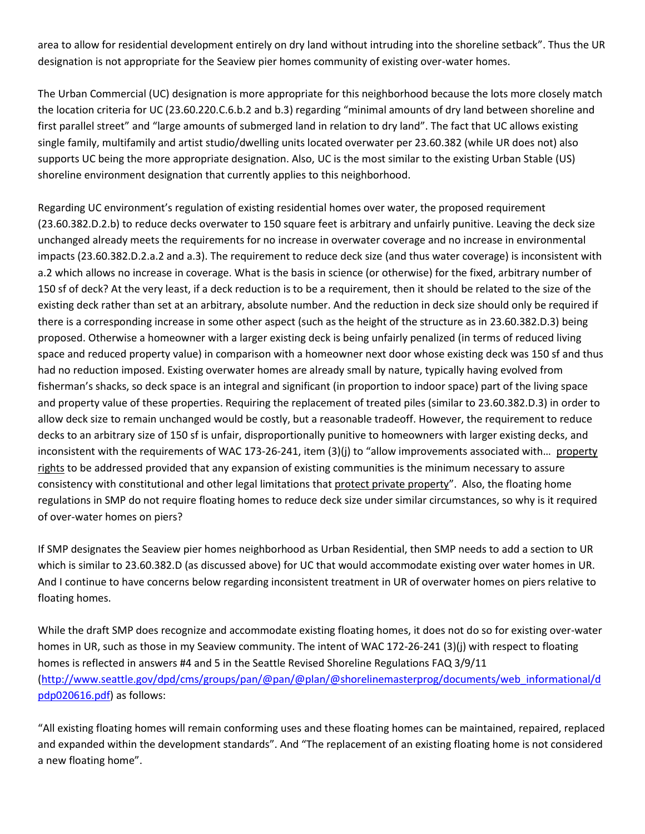area to allow for residential development entirely on dry land without intruding into the shoreline setback". Thus the UR designation is not appropriate for the Seaview pier homes community of existing over-water homes.

The Urban Commercial (UC) designation is more appropriate for this neighborhood because the lots more closely match the location criteria for UC (23.60.220.C.6.b.2 and b.3) regarding "minimal amounts of dry land between shoreline and first parallel street" and "large amounts of submerged land in relation to dry land". The fact that UC allows existing single family, multifamily and artist studio/dwelling units located overwater per 23.60.382 (while UR does not) also supports UC being the more appropriate designation. Also, UC is the most similar to the existing Urban Stable (US) shoreline environment designation that currently applies to this neighborhood.

Regarding UC environment's regulation of existing residential homes over water, the proposed requirement (23.60.382.D.2.b) to reduce decks overwater to 150 square feet is arbitrary and unfairly punitive. Leaving the deck size unchanged already meets the requirements for no increase in overwater coverage and no increase in environmental impacts (23.60.382.D.2.a.2 and a.3). The requirement to reduce deck size (and thus water coverage) is inconsistent with a.2 which allows no increase in coverage. What is the basis in science (or otherwise) for the fixed, arbitrary number of 150 sf of deck? At the very least, if a deck reduction is to be a requirement, then it should be related to the size of the existing deck rather than set at an arbitrary, absolute number. And the reduction in deck size should only be required if there is a corresponding increase in some other aspect (such as the height of the structure as in 23.60.382.D.3) being proposed. Otherwise a homeowner with a larger existing deck is being unfairly penalized (in terms of reduced living space and reduced property value) in comparison with a homeowner next door whose existing deck was 150 sf and thus had no reduction imposed. Existing overwater homes are already small by nature, typically having evolved from fisherman's shacks, so deck space is an integral and significant (in proportion to indoor space) part of the living space and property value of these properties. Requiring the replacement of treated piles (similar to 23.60.382.D.3) in order to allow deck size to remain unchanged would be costly, but a reasonable tradeoff. However, the requirement to reduce decks to an arbitrary size of 150 sf is unfair, disproportionally punitive to homeowners with larger existing decks, and inconsistent with the requirements of WAC 173-26-241, item (3)(j) to "allow improvements associated with... property rights to be addressed provided that any expansion of existing communities is the minimum necessary to assure consistency with constitutional and other legal limitations that protect private property". Also, the floating home regulations in SMP do not require floating homes to reduce deck size under similar circumstances, so why is it required of over-water homes on piers?

If SMP designates the Seaview pier homes neighborhood as Urban Residential, then SMP needs to add a section to UR which is similar to 23.60.382.D (as discussed above) for UC that would accommodate existing over water homes in UR. And I continue to have concerns below regarding inconsistent treatment in UR of overwater homes on piers relative to floating homes.

While the draft SMP does recognize and accommodate existing floating homes, it does not do so for existing over-water homes in UR, such as those in my Seaview community. The intent of WAC 172-26-241 (3)(j) with respect to floating homes is reflected in answers #4 and 5 in the Seattle Revised Shoreline Regulations FAQ 3/9/11 [\(http://www.seattle.gov/dpd/cms/groups/pan/@pan/@plan/@shorelinemasterprog/documents/web\\_informational/d](http://www.seattle.gov/dpd/cms/groups/pan/@pan/@plan/@shorelinemasterprog/documents/web_informational/dpdp020616.pdf) [pdp020616.pdf\)](http://www.seattle.gov/dpd/cms/groups/pan/@pan/@plan/@shorelinemasterprog/documents/web_informational/dpdp020616.pdf) as follows:

"All existing floating homes will remain conforming uses and these floating homes can be maintained, repaired, replaced and expanded within the development standards". And "The replacement of an existing floating home is not considered a new floating home".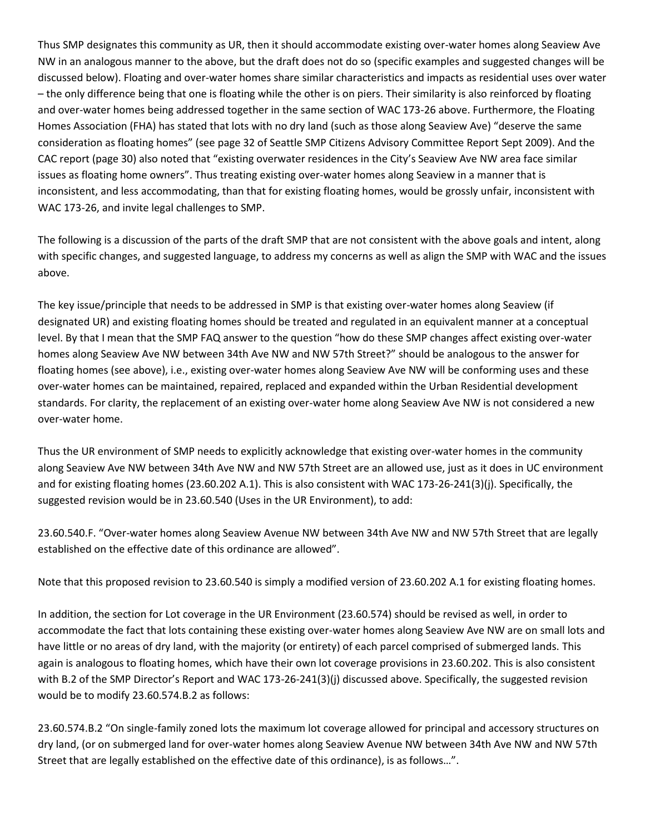Thus SMP designates this community as UR, then it should accommodate existing over-water homes along Seaview Ave NW in an analogous manner to the above, but the draft does not do so (specific examples and suggested changes will be discussed below). Floating and over-water homes share similar characteristics and impacts as residential uses over water – the only difference being that one is floating while the other is on piers. Their similarity is also reinforced by floating and over-water homes being addressed together in the same section of WAC 173-26 above. Furthermore, the Floating Homes Association (FHA) has stated that lots with no dry land (such as those along Seaview Ave) "deserve the same consideration as floating homes" (see page 32 of Seattle SMP Citizens Advisory Committee Report Sept 2009). And the CAC report (page 30) also noted that "existing overwater residences in the City's Seaview Ave NW area face similar issues as floating home owners". Thus treating existing over-water homes along Seaview in a manner that is inconsistent, and less accommodating, than that for existing floating homes, would be grossly unfair, inconsistent with WAC 173-26, and invite legal challenges to SMP.

The following is a discussion of the parts of the draft SMP that are not consistent with the above goals and intent, along with specific changes, and suggested language, to address my concerns as well as align the SMP with WAC and the issues above.

The key issue/principle that needs to be addressed in SMP is that existing over-water homes along Seaview (if designated UR) and existing floating homes should be treated and regulated in an equivalent manner at a conceptual level. By that I mean that the SMP FAQ answer to the question "how do these SMP changes affect existing over-water homes along Seaview Ave NW between 34th Ave NW and NW 57th Street?" should be analogous to the answer for floating homes (see above), i.e., existing over-water homes along Seaview Ave NW will be conforming uses and these over-water homes can be maintained, repaired, replaced and expanded within the Urban Residential development standards. For clarity, the replacement of an existing over-water home along Seaview Ave NW is not considered a new over-water home.

Thus the UR environment of SMP needs to explicitly acknowledge that existing over-water homes in the community along Seaview Ave NW between 34th Ave NW and NW 57th Street are an allowed use, just as it does in UC environment and for existing floating homes (23.60.202 A.1). This is also consistent with WAC 173-26-241(3)(j). Specifically, the suggested revision would be in 23.60.540 (Uses in the UR Environment), to add:

23.60.540.F. "Over-water homes along Seaview Avenue NW between 34th Ave NW and NW 57th Street that are legally established on the effective date of this ordinance are allowed".

Note that this proposed revision to 23.60.540 is simply a modified version of 23.60.202 A.1 for existing floating homes.

In addition, the section for Lot coverage in the UR Environment (23.60.574) should be revised as well, in order to accommodate the fact that lots containing these existing over-water homes along Seaview Ave NW are on small lots and have little or no areas of dry land, with the majority (or entirety) of each parcel comprised of submerged lands. This again is analogous to floating homes, which have their own lot coverage provisions in 23.60.202. This is also consistent with B.2 of the SMP Director's Report and WAC 173-26-241(3)(j) discussed above. Specifically, the suggested revision would be to modify 23.60.574.B.2 as follows:

23.60.574.B.2 "On single-family zoned lots the maximum lot coverage allowed for principal and accessory structures on dry land, (or on submerged land for over-water homes along Seaview Avenue NW between 34th Ave NW and NW 57th Street that are legally established on the effective date of this ordinance), is as follows…".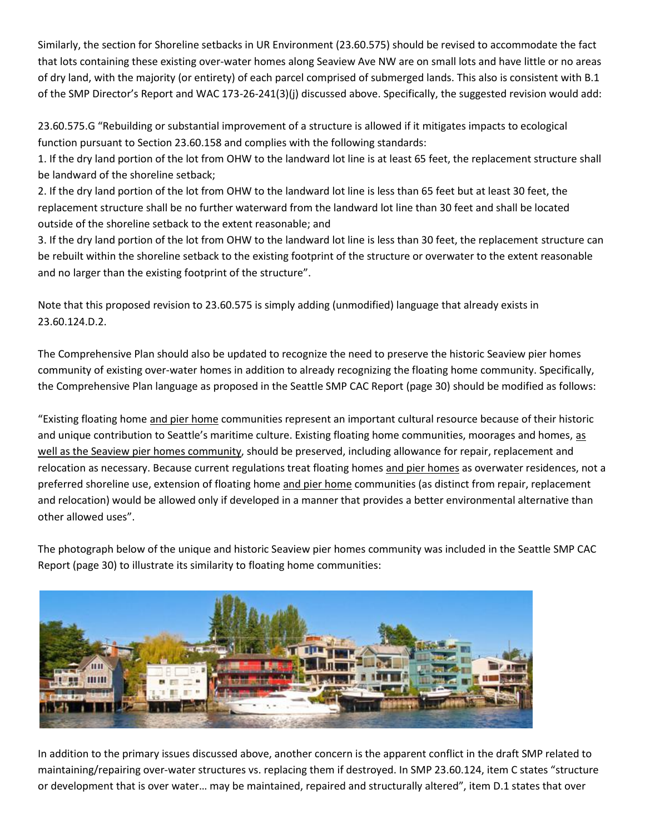Similarly, the section for Shoreline setbacks in UR Environment (23.60.575) should be revised to accommodate the fact that lots containing these existing over-water homes along Seaview Ave NW are on small lots and have little or no areas of dry land, with the majority (or entirety) of each parcel comprised of submerged lands. This also is consistent with B.1 of the SMP Director's Report and WAC 173-26-241(3)(j) discussed above. Specifically, the suggested revision would add:

23.60.575.G "Rebuilding or substantial improvement of a structure is allowed if it mitigates impacts to ecological function pursuant to Section 23.60.158 and complies with the following standards:

1. If the dry land portion of the lot from OHW to the landward lot line is at least 65 feet, the replacement structure shall be landward of the shoreline setback;

2. If the dry land portion of the lot from OHW to the landward lot line is less than 65 feet but at least 30 feet, the replacement structure shall be no further waterward from the landward lot line than 30 feet and shall be located outside of the shoreline setback to the extent reasonable; and

3. If the dry land portion of the lot from OHW to the landward lot line is less than 30 feet, the replacement structure can be rebuilt within the shoreline setback to the existing footprint of the structure or overwater to the extent reasonable and no larger than the existing footprint of the structure".

Note that this proposed revision to 23.60.575 is simply adding (unmodified) language that already exists in 23.60.124.D.2.

The Comprehensive Plan should also be updated to recognize the need to preserve the historic Seaview pier homes community of existing over-water homes in addition to already recognizing the floating home community. Specifically, the Comprehensive Plan language as proposed in the Seattle SMP CAC Report (page 30) should be modified as follows:

"Existing floating home and pier home communities represent an important cultural resource because of their historic and unique contribution to Seattle's maritime culture. Existing floating home communities, moorages and homes, as well as the Seaview pier homes community, should be preserved, including allowance for repair, replacement and relocation as necessary. Because current regulations treat floating homes and pier homes as overwater residences, not a preferred shoreline use, extension of floating home and pier home communities (as distinct from repair, replacement and relocation) would be allowed only if developed in a manner that provides a better environmental alternative than other allowed uses".

The photograph below of the unique and historic Seaview pier homes community was included in the Seattle SMP CAC Report (page 30) to illustrate its similarity to floating home communities:



In addition to the primary issues discussed above, another concern is the apparent conflict in the draft SMP related to maintaining/repairing over-water structures vs. replacing them if destroyed. In SMP 23.60.124, item C states "structure or development that is over water… may be maintained, repaired and structurally altered", item D.1 states that over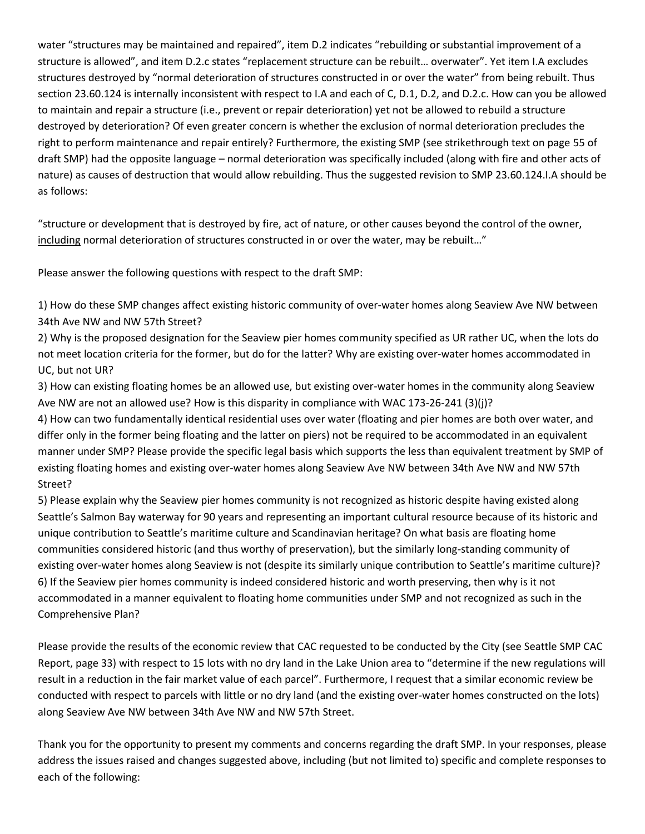water "structures may be maintained and repaired", item D.2 indicates "rebuilding or substantial improvement of a structure is allowed", and item D.2.c states "replacement structure can be rebuilt… overwater". Yet item I.A excludes structures destroyed by "normal deterioration of structures constructed in or over the water" from being rebuilt. Thus section 23.60.124 is internally inconsistent with respect to I.A and each of C, D.1, D.2, and D.2.c. How can you be allowed to maintain and repair a structure (i.e., prevent or repair deterioration) yet not be allowed to rebuild a structure destroyed by deterioration? Of even greater concern is whether the exclusion of normal deterioration precludes the right to perform maintenance and repair entirely? Furthermore, the existing SMP (see strikethrough text on page 55 of draft SMP) had the opposite language – normal deterioration was specifically included (along with fire and other acts of nature) as causes of destruction that would allow rebuilding. Thus the suggested revision to SMP 23.60.124.I.A should be as follows:

"structure or development that is destroyed by fire, act of nature, or other causes beyond the control of the owner, including normal deterioration of structures constructed in or over the water, may be rebuilt…"

Please answer the following questions with respect to the draft SMP:

1) How do these SMP changes affect existing historic community of over-water homes along Seaview Ave NW between 34th Ave NW and NW 57th Street?

2) Why is the proposed designation for the Seaview pier homes community specified as UR rather UC, when the lots do not meet location criteria for the former, but do for the latter? Why are existing over-water homes accommodated in UC, but not UR?

3) How can existing floating homes be an allowed use, but existing over-water homes in the community along Seaview Ave NW are not an allowed use? How is this disparity in compliance with WAC 173-26-241 (3)(j)?

4) How can two fundamentally identical residential uses over water (floating and pier homes are both over water, and differ only in the former being floating and the latter on piers) not be required to be accommodated in an equivalent manner under SMP? Please provide the specific legal basis which supports the less than equivalent treatment by SMP of existing floating homes and existing over-water homes along Seaview Ave NW between 34th Ave NW and NW 57th Street?

5) Please explain why the Seaview pier homes community is not recognized as historic despite having existed along Seattle's Salmon Bay waterway for 90 years and representing an important cultural resource because of its historic and unique contribution to Seattle's maritime culture and Scandinavian heritage? On what basis are floating home communities considered historic (and thus worthy of preservation), but the similarly long-standing community of existing over-water homes along Seaview is not (despite its similarly unique contribution to Seattle's maritime culture)? 6) If the Seaview pier homes community is indeed considered historic and worth preserving, then why is it not accommodated in a manner equivalent to floating home communities under SMP and not recognized as such in the Comprehensive Plan?

Please provide the results of the economic review that CAC requested to be conducted by the City (see Seattle SMP CAC Report, page 33) with respect to 15 lots with no dry land in the Lake Union area to "determine if the new regulations will result in a reduction in the fair market value of each parcel". Furthermore, I request that a similar economic review be conducted with respect to parcels with little or no dry land (and the existing over-water homes constructed on the lots) along Seaview Ave NW between 34th Ave NW and NW 57th Street.

Thank you for the opportunity to present my comments and concerns regarding the draft SMP. In your responses, please address the issues raised and changes suggested above, including (but not limited to) specific and complete responses to each of the following: